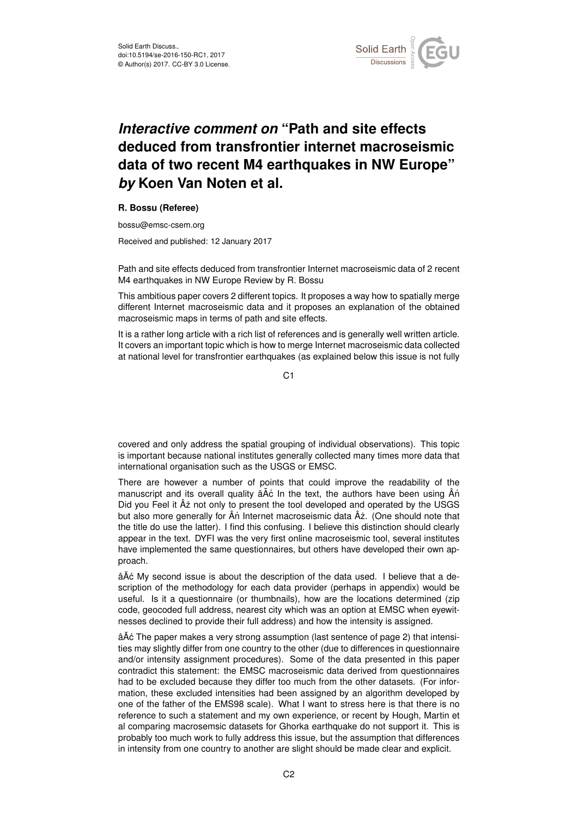

## *Interactive comment on* **"Path and site effects deduced from transfrontier internet macroseismic data of two recent M4 earthquakes in NW Europe"** *by* **Koen Van Noten et al.**

## **R. Bossu (Referee)**

bossu@emsc-csem.org

Received and published: 12 January 2017

Path and site effects deduced from transfrontier Internet macroseismic data of 2 recent M4 earthquakes in NW Europe Review by R. Bossu

This ambitious paper covers 2 different topics. It proposes a way how to spatially merge different Internet macroseismic data and it proposes an explanation of the obtained macroseismic maps in terms of path and site effects.

It is a rather long article with a rich list of references and is generally well written article. It covers an important topic which is how to merge Internet macroseismic data collected at national level for transfrontier earthquakes (as explained below this issue is not fully

C<sub>1</sub>

covered and only address the spatial grouping of individual observations). This topic is important because national institutes generally collected many times more data that international organisation such as the USGS or EMSC.

There are however a number of points that could improve the readability of the manuscript and its overall quality â A<sup>c</sup> In the text, the authors have been using An Did you Feel it  $\hat{A}$ ż not only to present the tool developed and operated by the USGS but also more generally for  $\hat{A}$ n Internet macroseismic data  $\hat{A}$ ż. (One should note that the title do use the latter). I find this confusing. I believe this distinction should clearly appear in the text. DYFI was the very first online macroseismic tool, several institutes have implemented the same questionnaires, but others have developed their own approach.

âA<sup> $\acute{c}$ </sup> My second issue is about the description of the data used. I believe that a description of the methodology for each data provider (perhaps in appendix) would be useful. Is it a questionnaire (or thumbnails), how are the locations determined (zip code, geocoded full address, nearest city which was an option at EMSC when eyewitnesses declined to provide their full address) and how the intensity is assigned.

âA° The paper makes a very strong assumption (last sentence of page 2) that intensities may slightly differ from one country to the other (due to differences in questionnaire and/or intensity assignment procedures). Some of the data presented in this paper contradict this statement: the EMSC macroseismic data derived from questionnaires had to be excluded because they differ too much from the other datasets. (For information, these excluded intensities had been assigned by an algorithm developed by one of the father of the EMS98 scale). What I want to stress here is that there is no reference to such a statement and my own experience, or recent by Hough, Martin et al comparing macrosemsic datasets for Ghorka earthquake do not support it. This is probably too much work to fully address this issue, but the assumption that differences in intensity from one country to another are slight should be made clear and explicit.